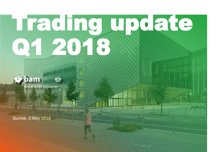# Trading update Q1 2018.



Royal BAM Group nv

Bunnik, 3 May 2018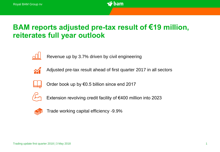

# BAM reports adjusted pre-tax result of **€**19 million, reiterates full year outlook



Revenue up by 3.7% driven by civil engineering



Adjusted pre-tax result ahead of first quarter 2017 in all sectors



Order book up by €0.5 billion since end 2017



Extension revolving credit facility of €400 million into 2023



Trade working capital efficiency -9.9%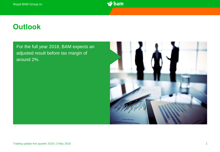

### **Outlook**

For the full year 2018, BAM expects an adjusted result before tax margin of around 2%.

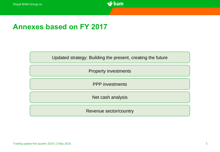

#### Annexes based on FY 2017

Updated strategy: Building the present, creating the future

Property investments

PPP investments

Net cash analysis

Revenue sector/country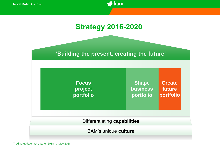

# Strategy 2016-2020

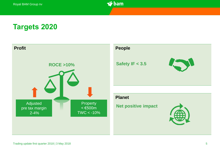

#### Targets 2020

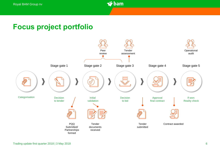

# Focus project portfolio

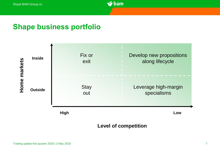

#### Shape business portfolio



#### **Level of competition**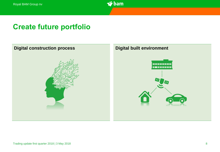

### Create future portfolio



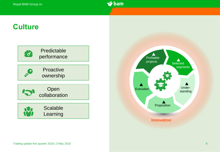

#### **Culture**



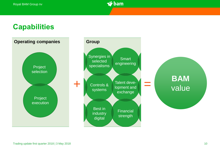

#### **Capabilities**

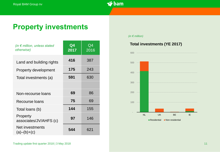

#### Property investments

| (in $\epsilon$ million, unless stated<br>otherwise) | $\mathbf{Q}$ 4<br>2017 | Q4<br>2016 |
|-----------------------------------------------------|------------------------|------------|
| Land and building rights                            | 416                    | 387        |
| <b>Property development</b>                         | 175                    | 243        |
| Total investments (a)                               | 591                    | 630        |
|                                                     |                        |            |
| Non-recourse loans                                  | 69                     | 86         |
| <b>Recourse loans</b>                               | 75                     | 69         |
| Total loans (b)                                     | 144                    | 155        |
| Property<br>associates/JV/AHFS (c)                  | 97                     | 146        |
| Net investments<br>$(a)$ – $(b)$ + $(c)$            | 544                    | 621        |

#### *(in € million)*

#### **Total investments (YE 2017)**

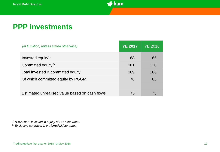

### **PPP investments**

| (in $\epsilon$ million, unless stated otherwise) | <b>YE 2017</b> | <b>YE 2016</b> |
|--------------------------------------------------|----------------|----------------|
| Invested equity <sup>1)</sup>                    | 68             | 66             |
| Committed equity <sup>2)</sup>                   | 101            | 120            |
| Total invested & committed equity                | 169            | 186            |
| Of which committed equity by PGGM                | 70             | 85             |
|                                                  |                |                |
| Estimated unrealised value based on cash flows   | 75             | 73             |

*1) BAM share invested in equity of PPP contracts.*

*2) Excluding contracts in preferred bidder stage.*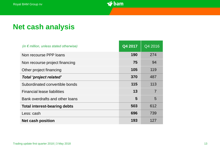

# **Net cash analysis**

| (in $\epsilon$ million, unless stated otherwise) | Q4 2017 | Q4 2016        |
|--------------------------------------------------|---------|----------------|
| Non recourse PPP loans                           | 190     | 274            |
| Non recourse project financing                   | 75      | 94             |
| Other project financing                          | 105     | 119            |
| Total 'project related'                          | 370     | 487            |
| Subordinated convertible bonds                   | 115     | 113            |
| <b>Financial lease liabilities</b>               | 13      | $\overline{7}$ |
| Bank overdrafts and other loans                  | 5       | 5              |
| <b>Total interest-bearing debts</b>              | 503     | 612            |
| Less: cash                                       | 696     | 739            |
| <b>Net cash position</b>                         | 193     | 127            |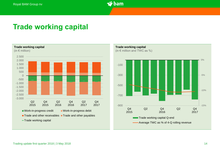

#### Trade working capital



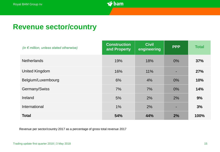

#### **Revenue sector/country**

| (in $\epsilon$ million, unless stated otherwise) | <b>Construction</b><br>and Property | <b>Civil</b><br>engineering | <b>PPP</b> | <b>Total</b> |
|--------------------------------------------------|-------------------------------------|-----------------------------|------------|--------------|
| <b>Netherlands</b>                               | 19%                                 | 18%                         | $0\%$      | 37%          |
| <b>United Kingdom</b>                            | 16%                                 | 11%                         | ۰          | 27%          |
| Belgium/Luxembourg                               | 6%                                  | 4%                          | $0\%$      | 10%          |
| Germany/Swiss                                    | 7%                                  | 7%                          | $0\%$      | 14%          |
| Ireland                                          | 5%                                  | 2%                          | 2%         | 9%           |
| International                                    | $1\%$                               | 2%                          | -          | 3%           |
| <b>Total</b>                                     | 54%                                 | 44%                         | 2%         | 100%         |

Revenue per sector/country 2017 as a percentage of gross total revenue 2017